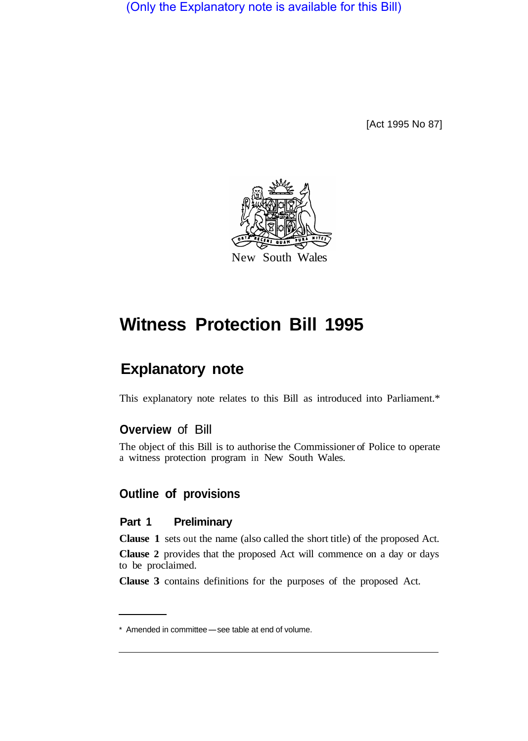(Only the Explanatory note is available for this Bill)

[Act 1995 No 87]



# **Witness Protection Bill 1995**

## **Explanatory note**

This explanatory note relates to this Bill as introduced into Parliament.\*

### **Overview** of Bill

The object of this Bill is to authorise the Commissioner of Police to operate a witness protection program in New South Wales.

## **Outline of provisions**

#### **Part 1 Preliminary**

**Clause 1** sets out the name (also called the short title) of the proposed Act.

**Clause 2** provides that the proposed Act will commence on a day or days to be proclaimed.

**Clause 3** contains definitions for the purposes of the proposed Act.

<sup>\*</sup> Amended in committee-see table at end of volume.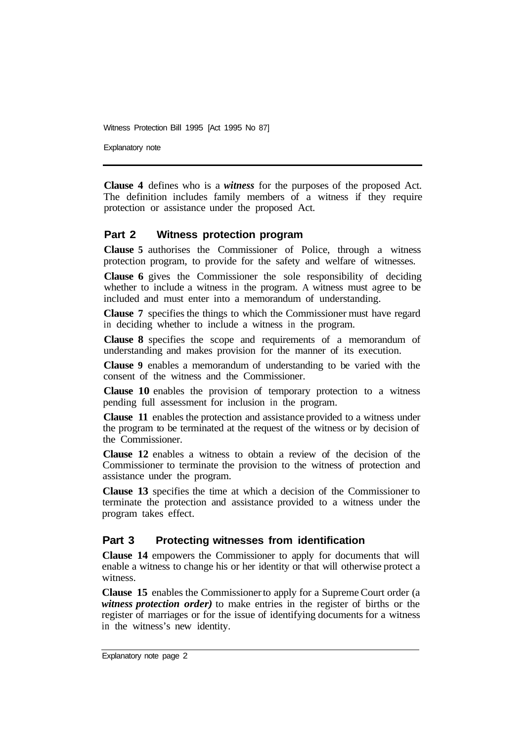Explanatory note

**Clause 4** defines who is a *witness* for the purposes of the proposed Act. The definition includes family members of a witness if they require protection or assistance under the proposed Act.

#### **Part 2 Witness protection program**

**Clause 5** authorises the Commissioner of Police, through a witness protection program, to provide for the safety and welfare of witnesses.

**Clause 6** gives the Commissioner the sole responsibility of deciding whether to include a witness in the program. A witness must agree to be included and must enter into a memorandum of understanding.

**Clause 7** specifies the things to which the Commissioner must have regard in deciding whether to include a witness in the program.

**Clause 8** specifies the scope and requirements of a memorandum of understanding and makes provision for the manner of its execution.

**Clause 9** enables a memorandum of understanding to be varied with the consent of the witness and the Commissioner.

**Clause 10** enables the provision of temporary protection to a witness pending full assessment for inclusion in the program.

**Clause 11** enables the protection and assistance provided to a witness under the program to be terminated at the request of the witness or by decision of the Commissioner.

**Clause 12** enables a witness to obtain a review of the decision of the Commissioner to terminate the provision to the witness of protection and assistance under the program.

**Clause 13** specifies the time at which a decision of the Commissioner to terminate the protection and assistance provided to a witness under the program takes effect.

#### **Part 3 Protecting witnesses from identification**

**Clause 14** empowers the Commissioner to apply for documents that will enable a witness to change his or her identity or that will otherwise protect a witness.

**Clause 15** enables the Commissioner to apply for a Supreme Court order (a *witness protection order)* to make entries in the register of births or the register of marriages or for the issue of identifying documents for a witness in the witness's new identity.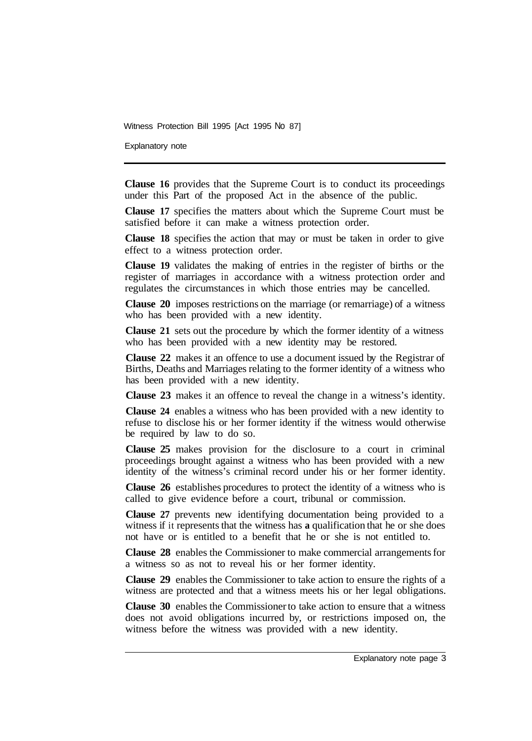Explanatory note

**Clause 16** provides that the Supreme Court is to conduct its proceedings under this Part of the proposed Act in the absence of the public.

**Clause 17** specifies the matters about which the Supreme Court must be satisfied before it can make a witness protection order.

**Clause 18** specifies the action that may or must be taken in order to give effect to a witness protection order.

**Clause 19** validates the making of entries in the register of births or the register of marriages in accordance with a witness protection order and regulates the circumstances in which those entries may be cancelled.

**Clause 20** imposes restrictions on the marriage (or remarriage) of a witness who has been provided with a new identity.

**Clause 21** sets out the procedure by which the former identity of a witness who has been provided with a new identity may be restored.

**Clause 22** makes it an offence to use a document issued by the Registrar of Births, Deaths and Marriages relating to the former identity of a witness who has been provided with a new identity.

**Clause 23** makes it an offence to reveal the change in a witness's identity.

**Clause 24** enables a witness who has been provided with a new identity to refuse to disclose his or her former identity if the witness would otherwise be required by law to do so.

**Clause 25** makes provision for the disclosure to a court in criminal proceedings brought against a witness who has been provided with a new identity of the witness's criminal record under his or her former identity.

**Clause 26** establishes procedures to protect the identity of a witness who is called to give evidence before a court, tribunal or commission.

**Clause 27** prevents new identifying documentation being provided to a witness if it represents that the witness has **a** qualification that he or she does not have or is entitled to a benefit that he or she is not entitled to.

**Clause 28** enables the Commissioner to make commercial arrangements for a witness so as not to reveal his or her former identity.

**Clause 29** enables the Commissioner to take action to ensure the rights of a witness are protected and that a witness meets his or her legal obligations.

**Clause 30** enables the Commissioner to take action to ensure that a witness does not avoid obligations incurred by, or restrictions imposed on, the witness before the witness was provided with a new identity.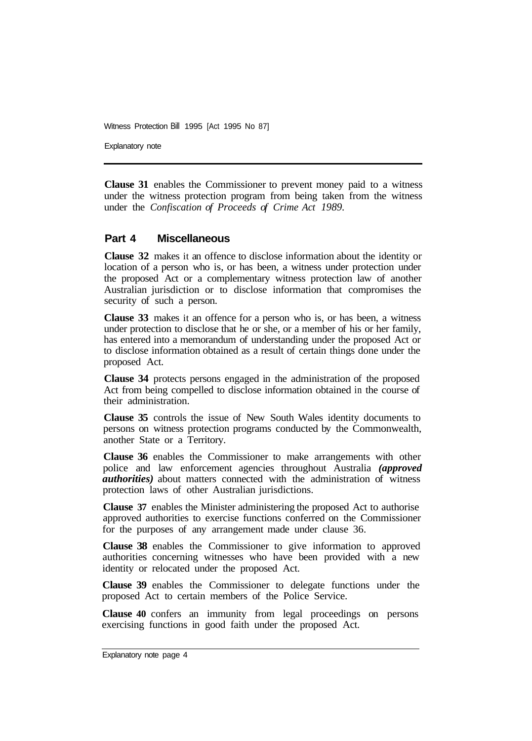Explanatory note

**Clause 31** enables the Commissioner to prevent money paid to a witness under the witness protection program from being taken from the witness under the *Confiscation of Proceeds of Crime Act 1989.* 

#### **Part 4 Miscellaneous**

**Clause 32** makes it an offence to disclose information about the identity or location of a person who is, or has been, a witness under protection under the proposed Act or a complementary witness protection law of another Australian jurisdiction or to disclose information that compromises the security of such a person.

**Clause 33** makes it an offence for a person who is, or has been, a witness under protection to disclose that he or she, or a member of his or her family, has entered into a memorandum of understanding under the proposed Act or to disclose information obtained as a result of certain things done under the proposed Act.

**Clause 34** protects persons engaged in the administration of the proposed Act from being compelled to disclose information obtained in the course of their administration.

**Clause 35** controls the issue of New South Wales identity documents to persons on witness protection programs conducted by the Commonwealth, another State or a Territory.

**Clause 36** enables the Commissioner to make arrangements with other police and law enforcement agencies throughout Australia *(approved authorities)* about matters connected with the administration of witness protection laws of other Australian jurisdictions.

**Clause 37** enables the Minister administering the proposed Act to authorise approved authorities to exercise functions conferred on the Commissioner for the purposes of any arrangement made under clause 36.

**Clause 38** enables the Commissioner to give information to approved authorities concerning witnesses who have been provided with a new identity or relocated under the proposed Act.

**Clause 39** enables the Commissioner to delegate functions under the proposed Act to certain members of the Police Service.

**Clause 40** confers an immunity from legal proceedings on persons exercising functions in good faith under the proposed Act.